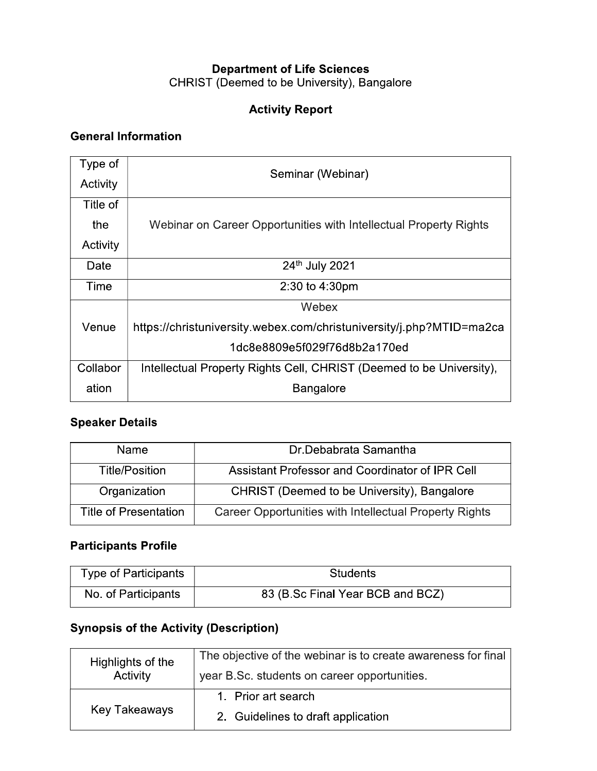#### **Department of Life Sciences** CHRIST (Deemed to be University), Bangalore

#### **Activity Report**

#### **General Information**

| Type of  | Seminar (Webinar)                                                    |
|----------|----------------------------------------------------------------------|
| Activity |                                                                      |
| Title of |                                                                      |
| the      | Webinar on Career Opportunities with Intellectual Property Rights    |
| Activity |                                                                      |
| Date     | 24th July 2021                                                       |
| Time     | 2:30 to 4:30pm                                                       |
|          | Webex                                                                |
| Venue    | https://christuniversity.webex.com/christuniversity/j.php?MTID=ma2ca |
|          | 1dc8e8809e5f029f76d8b2a170ed                                         |
| Collabor | Intellectual Property Rights Cell, CHRIST (Deemed to be University), |
| ation    | <b>Bangalore</b>                                                     |

#### **Speaker Details**

| Name.                        | Dr. Debabrata Samantha                                 |
|------------------------------|--------------------------------------------------------|
| Title/Position               | Assistant Professor and Coordinator of IPR Cell        |
| Organization                 | CHRIST (Deemed to be University), Bangalore            |
| <b>Title of Presentation</b> | Career Opportunities with Intellectual Property Rights |

#### **Participants Profile**

| <b>Type of Participants</b> | <b>Students</b>                  |
|-----------------------------|----------------------------------|
| No. of Participants         | 83 (B Sc Final Year BCB and BCZ) |

### **Synopsis of the Activity (Description)**

| Highlights of the    | The objective of the webinar is to create awareness for final |
|----------------------|---------------------------------------------------------------|
| Activity             | year B.Sc. students on career opportunities.                  |
|                      | 1 Prior art search                                            |
| <b>Key Takeaways</b> | 2. Guidelines to draft application                            |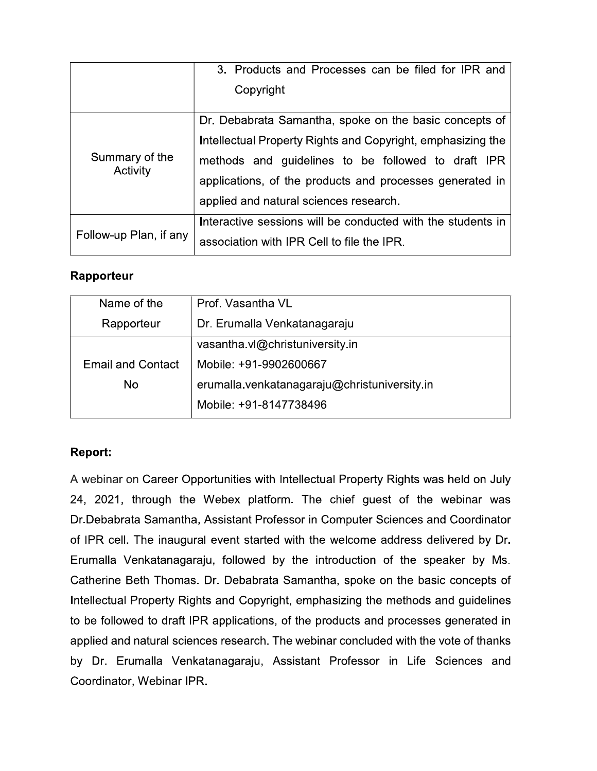|                        | 3. Products and Processes can be filed for IPR and          |
|------------------------|-------------------------------------------------------------|
|                        | Copyright                                                   |
|                        | Dr. Debabrata Samantha, spoke on the basic concepts of      |
|                        | Intellectual Property Rights and Copyright, emphasizing the |
| Summary of the         | methods and guidelines to be followed to draft IPR          |
| Activity               | applications, of the products and processes generated in    |
|                        | applied and natural sciences research.                      |
| Follow-up Plan, if any | Interactive sessions will be conducted with the students in |
|                        | association with IPR Cell to file the IPR.                  |

#### Rapporteur

| Name of the                                | Prof. Vasantha VL                            |
|--------------------------------------------|----------------------------------------------|
| Dr. Erumalla Venkatanagaraju<br>Rapporteur |                                              |
|                                            | vasantha vl@christuniversity.in              |
| <b>Email and Contact</b>                   | Mobile: +91-9902600667                       |
| No                                         | erumalla venkatanagaraju@christuniversity in |
|                                            | Mobile: +91-8147738496                       |

#### **Report:**

A webinar on Career Opportunities with Intellectual Property Rights was held on July 24, 2021, through the Webex platform. The chief guest of the webinar was Dr. Debabrata Samantha, Assistant Professor in Computer Sciences and Coordinator of IPR cell. The inaugural event started with the welcome address delivered by Dr. Erumalla Venkatanagaraju, followed by the introduction of the speaker by Ms. Catherine Beth Thomas. Dr. Debabrata Samantha, spoke on the basic concepts of Intellectual Property Rights and Copyright, emphasizing the methods and guidelines to be followed to draft IPR applications, of the products and processes generated in applied and natural sciences research. The webinar concluded with the vote of thanks by Dr. Erumalla Venkatanagaraju, Assistant Professor in Life Sciences and Coordinator, Webinar IPR.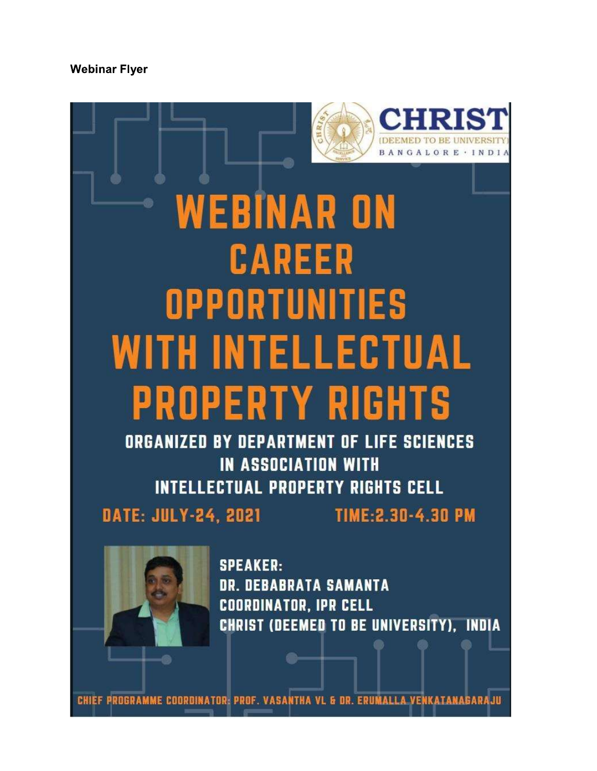#### **Webinar Flyer**



# **WEBINAR ON CAREER OPPORTUNITIES WITH INTELLECTUAL PROPERTY RIGHTS**

**ORGANIZED BY DEPARTMENT OF LIFE SCIENCES IN ASSOCIATION WITH INTELLECTUAL PROPERTY RIGHTS CELL** 

**DATE: JULY-24, 2021** 

TIME: 2.30 - 4.30 PM



**SPEAKER: DR. DEBABRATA SAMANTA COORDINATOR, IPR CELL CHRIST (DEEMED TO BE UNIVERSITY). INDIA** 

CHIEF PROGRAMME COORDINATOR: PROF. VASANTHA VL & DR. ERUMALLA VENKATANA **HLARAS**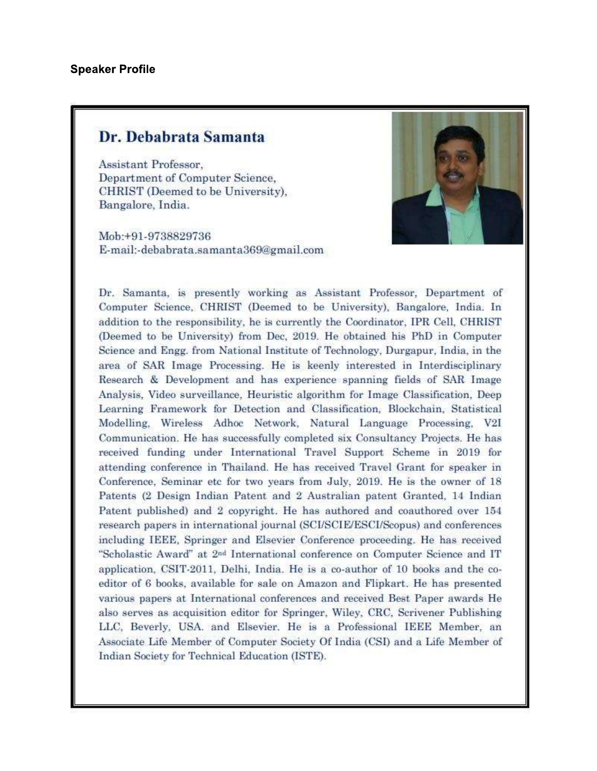## Dr. Debabrata Samanta

Assistant Professor. Department of Computer Science, CHRIST (Deemed to be University), Bangalore, India.

Mob:+91-9738829736 E-mail:-debabrata.samanta369@gmail.com



Dr. Samanta, is presently working as Assistant Professor, Department of Computer Science, CHRIST (Deemed to be University), Bangalore, India. In addition to the responsibility, he is currently the Coordinator, IPR Cell, CHRIST (Deemed to be University) from Dec, 2019. He obtained his PhD in Computer Science and Engg. from National Institute of Technology, Durgapur, India, in the area of SAR Image Processing. He is keenly interested in Interdisciplinary Research & Development and has experience spanning fields of SAR Image Analysis, Video surveillance, Heuristic algorithm for Image Classification, Deep Learning Framework for Detection and Classification, Blockchain, Statistical Modelling, Wireless Adhoc Network, Natural Language Processing, V2I Communication. He has successfully completed six Consultancy Projects. He has received funding under International Travel Support Scheme in 2019 for attending conference in Thailand. He has received Travel Grant for speaker in Conference, Seminar etc for two years from July, 2019. He is the owner of 18 Patents (2 Design Indian Patent and 2 Australian patent Granted, 14 Indian Patent published) and 2 copyright. He has authored and coauthored over 154 research papers in international journal (SCI/SCIE/ESCI/Scopus) and conferences including IEEE, Springer and Elsevier Conference proceeding. He has received "Scholastic Award" at 2<sup>nd</sup> International conference on Computer Science and IT application, CSIT-2011, Delhi, India. He is a co-author of 10 books and the coeditor of 6 books, available for sale on Amazon and Flipkart. He has presented various papers at International conferences and received Best Paper awards He also serves as acquisition editor for Springer, Wiley, CRC, Scrivener Publishing LLC, Beverly, USA. and Elsevier. He is a Professional IEEE Member, an Associate Life Member of Computer Society Of India (CSI) and a Life Member of Indian Society for Technical Education (ISTE).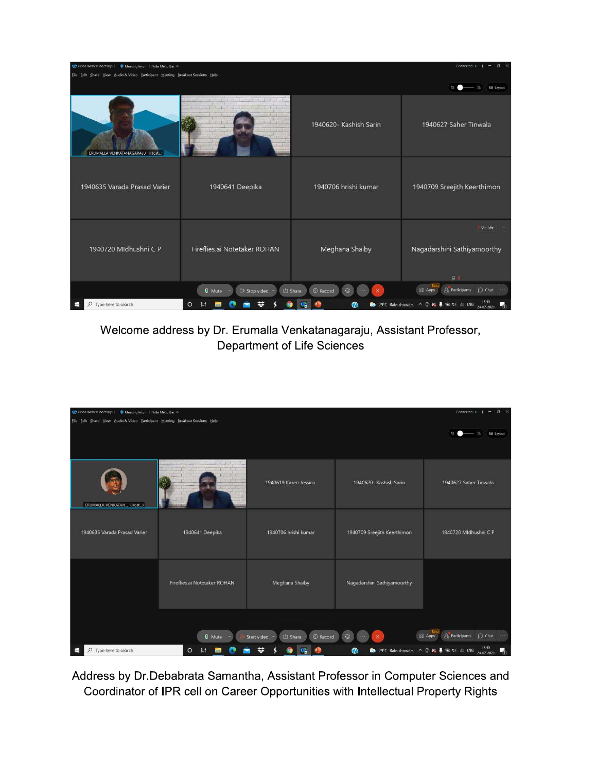| Cisco Webex Meetings   C Meeting Info   Hide Menu Bar A                       |                                                       |                                         | $x^2$<br>Connected .<br>$\rightarrow$                                        |
|-------------------------------------------------------------------------------|-------------------------------------------------------|-----------------------------------------|------------------------------------------------------------------------------|
| Eile Edit Share View Audio & Video Participant Meeting Breakout Sessions Help |                                                       |                                         |                                                                              |
|                                                                               |                                                       |                                         | Q<br><b>EB</b> Layout                                                        |
| ERUMALLA VENKATANAGARAJU (Host)                                               | The plan for the most the<br>$-1$ $-1$ $-1$ $-1$ $-1$ | 1940620- Kashish Sarin                  | 1940627 Saher Tinwala                                                        |
| 1940635 Varada Prasad Varier                                                  | 1940641 Deepika                                       | 1940706 hrishi kumar                    | 1940709 Sreejith Keerthimon                                                  |
| 1940720 Mldhushni C P                                                         | Fireflies.ai Notetaker ROHAN                          | Meghana Shaiby                          | Unmute<br>Nagadarshini Sathiyamoorthy<br>$Q$ $R$                             |
|                                                                               | <b>Q</b> Mute<br><sup>2</sup> Stop video              | $@$ Record<br><b>C</b> Share<br>$\odot$ | $\rho$ Participants<br>88 Apps<br>$\bigcap$ Chat $\cdots$                    |
| Type here to search<br>Q                                                      | $\circ$                                               | $\boldsymbol{\Omega}$                   | 29°C Rain showers $\wedge$ 0 $\otimes$ 1 10 41 $\otimes$ ENG 24-07-2021<br>島 |

Welcome address by Dr. Erumalla Venkatanagaraju, Assistant Professor, Department of Life Sciences

| C Cisco Webex Meetings   C Meeting Info   Hide Menu Bar A                     |                                                                                         |                                      |                                      | $x = 0$<br>Connected .<br>$\blacksquare$                                                                                                                                                                            |
|-------------------------------------------------------------------------------|-----------------------------------------------------------------------------------------|--------------------------------------|--------------------------------------|---------------------------------------------------------------------------------------------------------------------------------------------------------------------------------------------------------------------|
| Eile Edit Share View Audio & Video Participant Meeting Breakout Sessions Help |                                                                                         |                                      |                                      | <b>EB</b> Layout                                                                                                                                                                                                    |
| ERUMALLA VENKATAN (Host)                                                      | The second property of the second property of the<br>and the basic<br>the production of | 1940619 Karen Jessica                | 1940620- Kashish Sarin               | 1940627 Saher Tinwala                                                                                                                                                                                               |
| 1940635 Varada Prasad Varier                                                  | 1940641 Deepika                                                                         | 1940706 hrishi kumar                 | 1940709 Sreejith Keerthimon          | 1940720 Mldhushni C P                                                                                                                                                                                               |
|                                                                               | Fireflies.ai Notetaker ROHAN                                                            | Meghana Shaiby                       | Nagadarshini Sathiyamoorthy          |                                                                                                                                                                                                                     |
| O Type here to search<br>æ                                                    | <b>Q</b> Mute<br>$\circ$                                                                | © Record<br>① Share<br>Start video ~ | $\odot$<br>$\times$<br>$-0.001$<br>൚ | $\underline{\mathcal{Q}}$ Participants $\bigcirc$ Chat<br>88 Apps<br>$\sim$<br>29°C Rain showers $\land$ <b>B</b> $\bullet$ <sub>9</sub> <b>B</b> $\bullet$ 0 <b>B</b> $\bullet$ ENG $\frac{1540}{24-07-2021}$<br>暑 |

Address by Dr. Debabrata Samantha, Assistant Professor in Computer Sciences and Coordinator of IPR cell on Career Opportunities with Intellectual Property Rights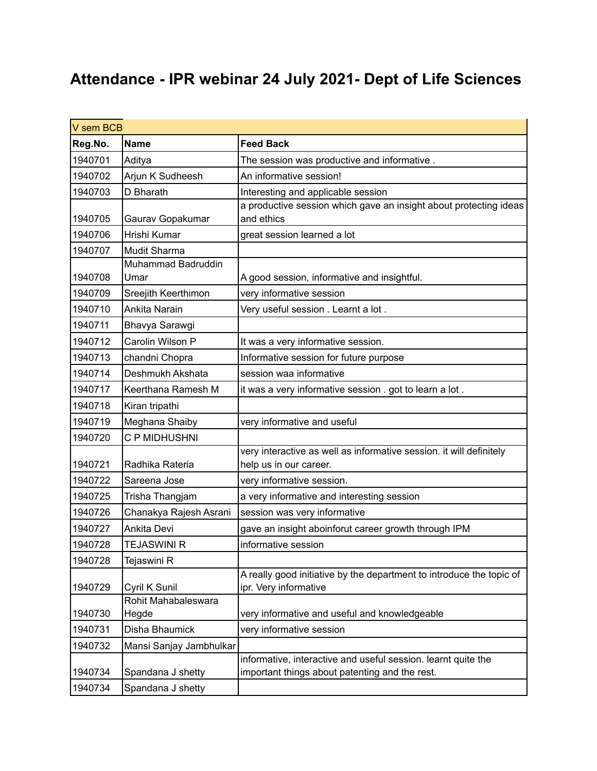# **Attendance - IPR webinar 24 July 2021- Dept of Life Sciences**

| <b>Feed Back</b><br>Reg.No.<br><b>Name</b><br>1940701<br>Aditya<br>The session was productive and informative.<br>1940702<br>Arjun K Sudheesh<br>An informative session!<br>1940703<br>D Bharath<br>Interesting and applicable session<br>a productive session which gave an insight about protecting ideas<br>and ethics<br>1940705<br>Gaurav Gopakumar<br>Hrishi Kumar<br>1940706<br>great session learned a lot<br>1940707<br>Mudit Sharma |
|-----------------------------------------------------------------------------------------------------------------------------------------------------------------------------------------------------------------------------------------------------------------------------------------------------------------------------------------------------------------------------------------------------------------------------------------------|
|                                                                                                                                                                                                                                                                                                                                                                                                                                               |
|                                                                                                                                                                                                                                                                                                                                                                                                                                               |
|                                                                                                                                                                                                                                                                                                                                                                                                                                               |
|                                                                                                                                                                                                                                                                                                                                                                                                                                               |
|                                                                                                                                                                                                                                                                                                                                                                                                                                               |
|                                                                                                                                                                                                                                                                                                                                                                                                                                               |
|                                                                                                                                                                                                                                                                                                                                                                                                                                               |
|                                                                                                                                                                                                                                                                                                                                                                                                                                               |
| Muhammad Badruddin                                                                                                                                                                                                                                                                                                                                                                                                                            |
| 1940708<br>A good session, informative and insightful.<br>Umar                                                                                                                                                                                                                                                                                                                                                                                |
| 1940709<br>Sreejith Keerthimon<br>very informative session                                                                                                                                                                                                                                                                                                                                                                                    |
| Ankita Narain<br>1940710<br>Very useful session . Learnt a lot.                                                                                                                                                                                                                                                                                                                                                                               |
| 1940711<br>Bhavya Sarawgi                                                                                                                                                                                                                                                                                                                                                                                                                     |
| Carolin Wilson P<br>It was a very informative session.<br>1940712                                                                                                                                                                                                                                                                                                                                                                             |
| 1940713<br>Informative session for future purpose<br>chandni Chopra                                                                                                                                                                                                                                                                                                                                                                           |
| Deshmukh Akshata<br>1940714<br>session waa informative                                                                                                                                                                                                                                                                                                                                                                                        |
| Keerthana Ramesh M<br>1940717<br>it was a very informative session . got to learn a lot.                                                                                                                                                                                                                                                                                                                                                      |
| 1940718<br>Kiran tripathi                                                                                                                                                                                                                                                                                                                                                                                                                     |
| Meghana Shaiby<br>very informative and useful<br>1940719                                                                                                                                                                                                                                                                                                                                                                                      |
| C P MIDHUSHNI<br>1940720                                                                                                                                                                                                                                                                                                                                                                                                                      |
| very interactive as well as informative session. it will definitely                                                                                                                                                                                                                                                                                                                                                                           |
| 1940721<br>Radhika Rateria<br>help us in our career.                                                                                                                                                                                                                                                                                                                                                                                          |
| 1940722<br>very informative session.<br>Sareena Jose                                                                                                                                                                                                                                                                                                                                                                                          |
| 1940725<br>a very informative and interesting session<br>Trisha Thangjam                                                                                                                                                                                                                                                                                                                                                                      |
| Chanakya Rajesh Asrani<br>1940726<br>session was very informative                                                                                                                                                                                                                                                                                                                                                                             |
| Ankita Devi<br>1940727<br>gave an insight aboinforut career growth through IPM                                                                                                                                                                                                                                                                                                                                                                |
| informative session<br>1940728<br><b>TEJASWINI R</b>                                                                                                                                                                                                                                                                                                                                                                                          |
| 1940728<br>Tejaswini R                                                                                                                                                                                                                                                                                                                                                                                                                        |
| A really good initiative by the department to introduce the topic of                                                                                                                                                                                                                                                                                                                                                                          |
| ipr. Very informative<br>1940729<br>Cyril K Sunil                                                                                                                                                                                                                                                                                                                                                                                             |
| Rohit Mahabaleswara                                                                                                                                                                                                                                                                                                                                                                                                                           |
| very informative and useful and knowledgeable<br>1940730<br>Hegde                                                                                                                                                                                                                                                                                                                                                                             |
| Disha Bhaumick<br>1940731<br>very informative session                                                                                                                                                                                                                                                                                                                                                                                         |
| 1940732<br>Mansi Sanjay Jambhulkar                                                                                                                                                                                                                                                                                                                                                                                                            |
| informative, interactive and useful session. learnt quite the<br>important things about patenting and the rest.<br>1940734<br>Spandana J shetty                                                                                                                                                                                                                                                                                               |
| 1940734<br>Spandana J shetty                                                                                                                                                                                                                                                                                                                                                                                                                  |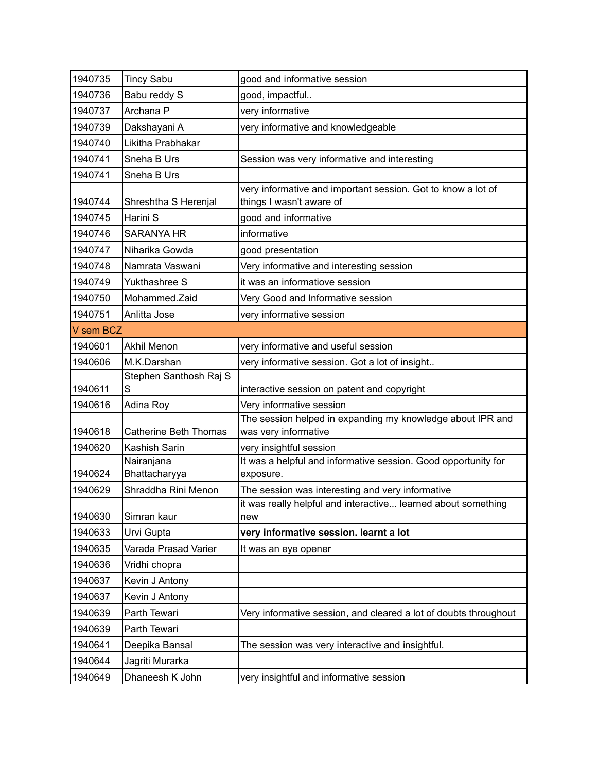| 1940735   | <b>Tincy Sabu</b>            | good and informative session                                                             |  |
|-----------|------------------------------|------------------------------------------------------------------------------------------|--|
| 1940736   | Babu reddy S                 | good, impactful                                                                          |  |
| 1940737   | Archana P                    | very informative                                                                         |  |
| 1940739   | Dakshayani A                 | very informative and knowledgeable                                                       |  |
| 1940740   | Likitha Prabhakar            |                                                                                          |  |
| 1940741   | Sneha B Urs                  | Session was very informative and interesting                                             |  |
| 1940741   | Sneha B Urs                  |                                                                                          |  |
| 1940744   | Shreshtha S Herenjal         | very informative and important session. Got to know a lot of<br>things I wasn't aware of |  |
| 1940745   | Harini S                     | good and informative                                                                     |  |
| 1940746   | <b>SARANYA HR</b>            | informative                                                                              |  |
| 1940747   | Niharika Gowda               | good presentation                                                                        |  |
| 1940748   | Namrata Vaswani              | Very informative and interesting session                                                 |  |
| 1940749   | Yukthashree S                | it was an informatiove session                                                           |  |
| 1940750   | Mohammed.Zaid                | Very Good and Informative session                                                        |  |
| 1940751   | Anlitta Jose                 | very informative session                                                                 |  |
| V sem BCZ |                              |                                                                                          |  |
| 1940601   | <b>Akhil Menon</b>           | very informative and useful session                                                      |  |
| 1940606   | M.K.Darshan                  | very informative session. Got a lot of insight                                           |  |
|           | Stephen Santhosh Raj S       |                                                                                          |  |
| 1940611   | S                            | interactive session on patent and copyright                                              |  |
| 1940616   | Adina Roy                    | Very informative session<br>The session helped in expanding my knowledge about IPR and   |  |
| 1940618   | <b>Catherine Beth Thomas</b> | was very informative                                                                     |  |
| 1940620   | Kashish Sarin                | very insightful session                                                                  |  |
| 1940624   | Nairanjana<br>Bhattacharyya  | It was a helpful and informative session. Good opportunity for<br>exposure.              |  |
| 1940629   | Shraddha Rini Menon          | The session was interesting and very informative                                         |  |
| 1940630   | Simran kaur                  | it was really helpful and interactive learned about something<br>new                     |  |
| 1940633   | Urvi Gupta                   | very informative session. learnt a lot                                                   |  |
| 1940635   | Varada Prasad Varier         | It was an eye opener                                                                     |  |
| 1940636   | Vridhi chopra                |                                                                                          |  |
| 1940637   | Kevin J Antony               |                                                                                          |  |
| 1940637   | Kevin J Antony               |                                                                                          |  |
| 1940639   | Parth Tewari                 | Very informative session, and cleared a lot of doubts throughout                         |  |
| 1940639   | Parth Tewari                 |                                                                                          |  |
| 1940641   | Deepika Bansal               | The session was very interactive and insightful.                                         |  |
| 1940644   | Jagriti Murarka              |                                                                                          |  |
| 1940649   | Dhaneesh K John              | very insightful and informative session                                                  |  |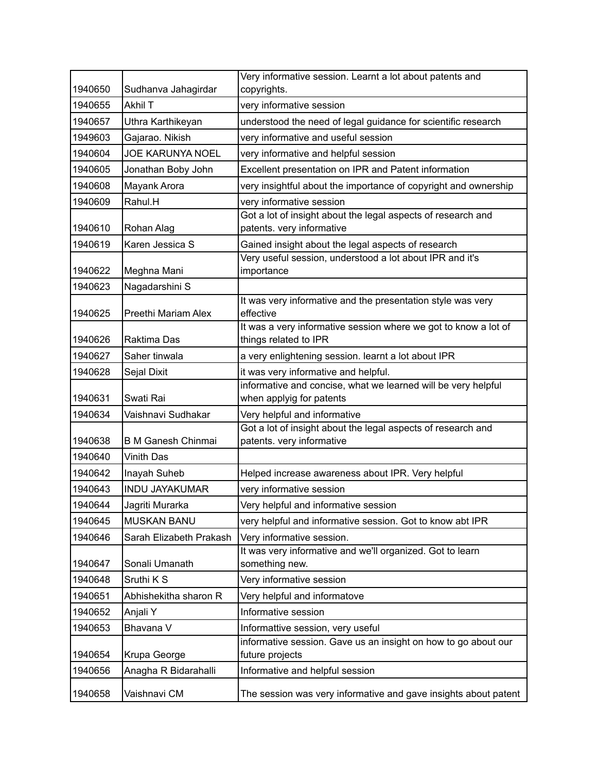| 1940650 | Sudhanva Jahagirdar       | Very informative session. Learnt a lot about patents and<br>copyrights.                   |
|---------|---------------------------|-------------------------------------------------------------------------------------------|
| 1940655 | Akhil T                   | very informative session                                                                  |
| 1940657 | Uthra Karthikeyan         | understood the need of legal guidance for scientific research                             |
| 1949603 | Gajarao. Nikish           | very informative and useful session                                                       |
| 1940604 | <b>JOE KARUNYA NOEL</b>   | very informative and helpful session                                                      |
| 1940605 | Jonathan Boby John        | Excellent presentation on IPR and Patent information                                      |
|         |                           |                                                                                           |
| 1940608 | Mayank Arora              | very insightful about the importance of copyright and ownership                           |
| 1940609 | Rahul.H                   | very informative session<br>Got a lot of insight about the legal aspects of research and  |
| 1940610 | Rohan Alag                | patents. very informative                                                                 |
| 1940619 | Karen Jessica S           | Gained insight about the legal aspects of research                                        |
| 1940622 | Meghna Mani               | Very useful session, understood a lot about IPR and it's<br>importance                    |
| 1940623 | Nagadarshini S            |                                                                                           |
| 1940625 | Preethi Mariam Alex       | It was very informative and the presentation style was very<br>effective                  |
|         |                           | It was a very informative session where we got to know a lot of                           |
| 1940626 | Raktima Das               | things related to IPR                                                                     |
| 1940627 | Saher tinwala             | a very enlightening session. learnt a lot about IPR                                       |
| 1940628 | Sejal Dixit               | it was very informative and helpful.                                                      |
| 1940631 | Swati Rai                 | informative and concise, what we learned will be very helpful<br>when applyig for patents |
| 1940634 | Vaishnavi Sudhakar        | Very helpful and informative                                                              |
|         |                           | Got a lot of insight about the legal aspects of research and                              |
| 1940638 | <b>B M Ganesh Chinmai</b> | patents. very informative                                                                 |
| 1940640 | <b>Vinith Das</b>         |                                                                                           |
| 1940642 | Inayah Suheb              | Helped increase awareness about IPR. Very helpful                                         |
| 1940643 | <b>INDU JAYAKUMAR</b>     | very informative session                                                                  |
| 1940644 | Jagriti Murarka           | Very helpful and informative session                                                      |
| 1940645 | <b>MUSKAN BANU</b>        | very helpful and informative session. Got to know abt IPR                                 |
| 1940646 | Sarah Elizabeth Prakash   | Very informative session.                                                                 |
|         |                           | It was very informative and we'll organized. Got to learn                                 |
| 1940647 | Sonali Umanath            | something new.                                                                            |
| 1940648 | Sruthi K S                | Very informative session                                                                  |
| 1940651 | Abhishekitha sharon R     | Very helpful and informatove                                                              |
| 1940652 | Anjali Y                  | Informative session                                                                       |
| 1940653 | Bhavana V                 | Informattive session, very useful                                                         |
| 1940654 | Krupa George              | informative session. Gave us an insight on how to go about our<br>future projects         |
| 1940656 | Anagha R Bidarahalli      | Informative and helpful session                                                           |
| 1940658 | Vaishnavi CM              | The session was very informative and gave insights about patent                           |